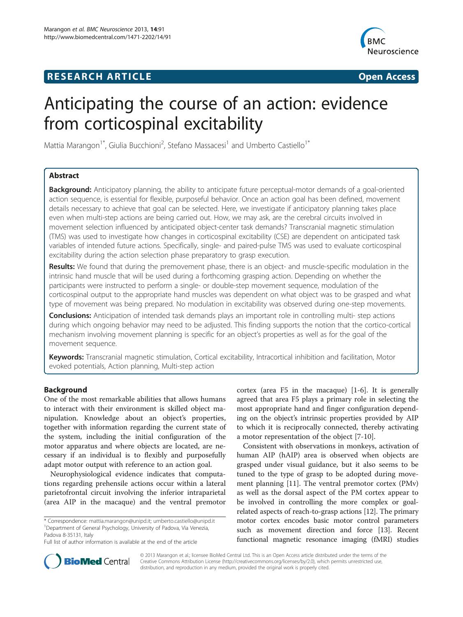## **RESEARCH ARTICLE Example 2014 CONSIDERING A RESEARCH ARTICLE**



# Anticipating the course of an action: evidence from corticospinal excitability

Mattia Marangon<sup>1\*</sup>, Giulia Bucchioni<sup>2</sup>, Stefano Massacesi<sup>1</sup> and Umberto Castiello<sup>1\*</sup>

## Abstract

Background: Anticipatory planning, the ability to anticipate future perceptual-motor demands of a goal-oriented action sequence, is essential for flexible, purposeful behavior. Once an action goal has been defined, movement details necessary to achieve that goal can be selected. Here, we investigate if anticipatory planning takes place even when multi-step actions are being carried out. How, we may ask, are the cerebral circuits involved in movement selection influenced by anticipated object-center task demands? Transcranial magnetic stimulation (TMS) was used to investigate how changes in corticospinal excitability (CSE) are dependent on anticipated task variables of intended future actions. Specifically, single- and paired-pulse TMS was used to evaluate corticospinal excitability during the action selection phase preparatory to grasp execution.

Results: We found that during the premovement phase, there is an object- and muscle-specific modulation in the intrinsic hand muscle that will be used during a forthcoming grasping action. Depending on whether the participants were instructed to perform a single- or double-step movement sequence, modulation of the corticospinal output to the appropriate hand muscles was dependent on what object was to be grasped and what type of movement was being prepared. No modulation in excitability was observed during one-step movements.

**Conclusions:** Anticipation of intended task demands plays an important role in controlling multi- step actions during which ongoing behavior may need to be adjusted. This finding supports the notion that the cortico-cortical mechanism involving movement planning is specific for an object's properties as well as for the goal of the movement sequence.

Keywords: Transcranial magnetic stimulation, Cortical excitability, Intracortical inhibition and facilitation, Motor evoked potentials, Action planning, Multi-step action

#### Background

One of the most remarkable abilities that allows humans to interact with their environment is skilled object manipulation. Knowledge about an object's properties, together with information regarding the current state of the system, including the initial configuration of the motor apparatus and where objects are located, are necessary if an individual is to flexibly and purposefully adapt motor output with reference to an action goal.

Neurophysiological evidence indicates that computations regarding prehensile actions occur within a lateral parietofrontal circuit involving the inferior intraparietal (area AIP in the macaque) and the ventral premotor

\* Correspondence: [mattia.marangon@unipd.it;](mailto:mattia.marangon@unipd.it) [umberto.castiello@unipd.it](mailto:umberto.castiello@unipd.it) <sup>1</sup> <sup>1</sup>Department of General Psychology, University of Padova, Via Venezia, Padova 8-35131, Italy

Full list of author information is available at the end of the article

cortex (area F5 in the macaque) [[1-6](#page-8-0)]. It is generally agreed that area F5 plays a primary role in selecting the most appropriate hand and finger configuration depending on the object's intrinsic properties provided by AIP to which it is reciprocally connected, thereby activating a motor representation of the object [[7-10\]](#page-8-0).

Consistent with observations in monkeys, activation of human AIP (hAIP) area is observed when objects are grasped under visual guidance, but it also seems to be tuned to the type of grasp to be adopted during movement planning [[11\]](#page-8-0). The ventral premotor cortex (PMv) as well as the dorsal aspect of the PM cortex appear to be involved in controlling the more complex or goalrelated aspects of reach-to-grasp actions [\[12\]](#page-8-0). The primary motor cortex encodes basic motor control parameters such as movement direction and force [\[13](#page-8-0)]. Recent functional magnetic resonance imaging (fMRI) studies



© 2013 Marangon et al.; licensee BioMed Central Ltd. This is an Open Access article distributed under the terms of the Creative Commons Attribution License (<http://creativecommons.org/licenses/by/2.0>), which permits unrestricted use, distribution, and reproduction in any medium, provided the original work is properly cited.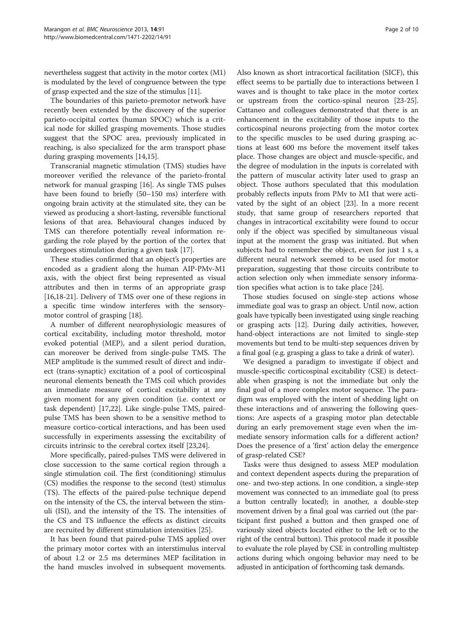nevertheless suggest that activity in the motor cortex (M1) is modulated by the level of congruence between the type of grasp expected and the size of the stimulus [[11](#page-8-0)].

The boundaries of this parieto-premotor network have recently been extended by the discovery of the superior parieto-occipital cortex (human SPOC) which is a critical node for skilled grasping movements. Those studies suggest that the SPOC area, previously implicated in reaching, is also specialized for the arm transport phase during grasping movements [\[14,15](#page-8-0)].

Transcranial magnetic stimulation (TMS) studies have moreover verified the relevance of the parieto-frontal network for manual grasping [[16\]](#page-8-0). As single TMS pulses have been found to briefly (50–150 ms) interfere with ongoing brain activity at the stimulated site, they can be viewed as producing a short-lasting, reversible functional lesions of that area. Behavioural changes induced by TMS can therefore potentially reveal information regarding the role played by the portion of the cortex that undergoes stimulation during a given task [\[17\]](#page-8-0).

These studies confirmed that an object's properties are encoded as a gradient along the human AIP-PMv-M1 axis, with the object first being represented as visual attributes and then in terms of an appropriate grasp [[16,18-21\]](#page-8-0). Delivery of TMS over one of these regions in a specific time window interferes with the sensorymotor control of grasping [[18\]](#page-8-0).

A number of different neurophysiologic measures of cortical excitability, including motor threshold, motor evoked potential (MEP), and a silent period duration, can moreover be derived from single-pulse TMS. The MEP amplitude is the summed result of direct and indirect (trans-synaptic) excitation of a pool of corticospinal neuronal elements beneath the TMS coil which provides an immediate measure of cortical excitability at any given moment for any given condition (i.e. context or task dependent) [\[17,22](#page-8-0)]. Like single-pulse TMS, pairedpulse TMS has been shown to be a sensitive method to measure cortico-cortical interactions, and has been used successfully in experiments assessing the excitability of circuits intrinsic to the cerebral cortex itself [[23,24\]](#page-8-0).

More specifically, paired-pulses TMS were delivered in close succession to the same cortical region through a single stimulation coil. The first (conditioning) stimulus (CS) modifies the response to the second (test) stimulus (TS). The effects of the paired-pulse technique depend on the intensity of the CS, the interval between the stimuli (ISI), and the intensity of the TS. The intensities of the CS and TS influence the effects as distinct circuits are recruited by different stimulation intensities [[25](#page-8-0)].

It has been found that paired-pulse TMS applied over the primary motor cortex with an interstimulus interval of about 1.2 or 2.5 ms determines MEP facilitation in the hand muscles involved in subsequent movements.

Also known as short intracortical facilitation (SICF), this effect seems to be partially due to interactions between I waves and is thought to take place in the motor cortex or upstream from the cortico-spinal neuron [\[23-25](#page-8-0)]. Cattaneo and colleagues demonstrated that there is an enhancement in the excitability of those inputs to the corticospinal neurons projecting from the motor cortex to the specific muscles to be used during grasping actions at least 600 ms before the movement itself takes place. Those changes are object and muscle-specific, and the degree of modulation in the inputs is correlated with the pattern of muscular activity later used to grasp an object. Those authors speculated that this modulation probably reflects inputs from PMv to M1 that were activated by the sight of an object [\[23](#page-8-0)]. In a more recent study, that same group of researchers reported that changes in intracortical excitability were found to occur only if the object was specified by simultaneous visual input at the moment the grasp was initiated. But when subjects had to remember the object, even for just 1 s, a different neural network seemed to be used for motor preparation, suggesting that those circuits contribute to action selection only when immediate sensory information specifies what action is to take place [[24\]](#page-8-0).

Those studies focused on single-step actions whose immediate goal was to grasp an object. Until now, action goals have typically been investigated using single reaching or grasping acts [[12](#page-8-0)]. During daily activities, however, hand-object interactions are not limited to single-step movements but tend to be multi-step sequences driven by a final goal (e.g. grasping a glass to take a drink of water).

We designed a paradigm to investigate if object and muscle-specific corticospinal excitability (CSE) is detectable when grasping is not the immediate but only the final goal of a more complex motor sequence. The paradigm was employed with the intent of shedding light on these interactions and of answering the following questions: Are aspects of a grasping motor plan detectable during an early premovement stage even when the immediate sensory information calls for a different action? Does the presence of a 'first' action delay the emergence of grasp-related CSE?

Tasks were thus designed to assess MEP modulation and context dependent aspects during the preparation of one- and two-step actions. In one condition, a single-step movement was connected to an immediate goal (to press a button centrally located); in another, a double-step movement driven by a final goal was carried out (the participant first pushed a button and then grasped one of variously sized objects located either to the left or to the right of the central button). This protocol made it possible to evaluate the role played by CSE in controlling multistep actions during which ongoing behavior may need to be adjusted in anticipation of forthcoming task demands.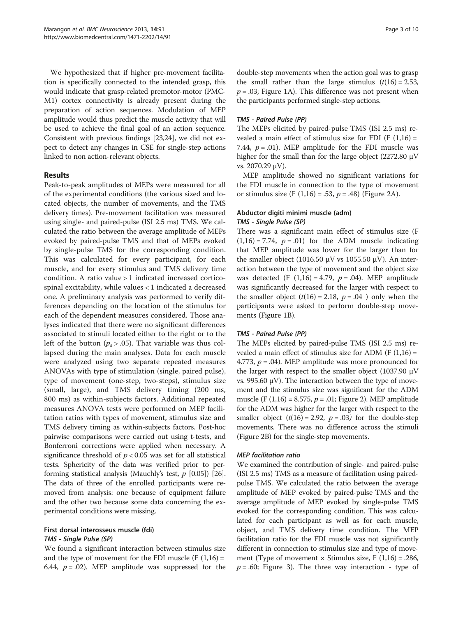We hypothesized that if higher pre-movement facilitation is specifically connected to the intended grasp, this would indicate that grasp-related premotor-motor (PMC-M1) cortex connectivity is already present during the preparation of action sequences. Modulation of MEP amplitude would thus predict the muscle activity that will be used to achieve the final goal of an action sequence. Consistent with previous findings [[23,24](#page-8-0)], we did not expect to detect any changes in CSE for single-step actions linked to non action-relevant objects.

#### Results

Peak-to-peak amplitudes of MEPs were measured for all of the experimental conditions (the various sized and located objects, the number of movements, and the TMS delivery times). Pre-movement facilitation was measured using single- and paired-pulse (ISI 2.5 ms) TMS. We calculated the ratio between the average amplitude of MEPs evoked by paired-pulse TMS and that of MEPs evoked by single-pulse TMS for the corresponding condition. This was calculated for every participant, for each muscle, and for every stimulus and TMS delivery time condition. A ratio value > 1 indicated increased corticospinal excitability, while values < 1 indicated a decreased one. A preliminary analysis was performed to verify differences depending on the location of the stimulus for each of the dependent measures considered. Those analyses indicated that there were no significant differences associated to stimuli located either to the right or to the left of the button ( $p_s > .05$ ). That variable was thus collapsed during the main analyses. Data for each muscle were analyzed using two separate repeated measures ANOVAs with type of stimulation (single, paired pulse), type of movement (one-step, two-steps), stimulus size (small, large), and TMS delivery timing (200 ms, 800 ms) as within-subjects factors. Additional repeated measures ANOVA tests were performed on MEP facilitation ratios with types of movement, stimulus size and TMS delivery timing as within-subjects factors. Post-hoc pairwise comparisons were carried out using t-tests, and Bonferroni corrections were applied when necessary. A significance threshold of  $p < 0.05$  was set for all statistical tests. Sphericity of the data was verified prior to performing statistical analysis (Mauchly's test,  $p$  [0.05]) [[26](#page-8-0)]. The data of three of the enrolled participants were removed from analysis: one because of equipment failure and the other two because some data concerning the experimental conditions were missing.

#### First dorsal interosseus muscle (fdi) TMS - Single Pulse (SP)

We found a significant interaction between stimulus size and the type of movement for the FDI muscle  $(F(1,16) =$ 6.44,  $p = .02$ ). MEP amplitude was suppressed for the

double-step movements when the action goal was to grasp the small rather than the large stimulus  $(t(16) = 2.53)$ ,  $p = .03$ ; Figure [1A](#page-3-0)). This difference was not present when the participants performed single-step actions.

#### TMS - Paired Pulse (PP)

The MEPs elicited by paired-pulse TMS (ISI 2.5 ms) revealed a main effect of stimulus size for FDI  $(F (1,16) =$ 7.44,  $p = .01$ ). MEP amplitude for the FDI muscle was higher for the small than for the large object (2272.80 μV vs. 2070.29 μV).

MEP amplitude showed no significant variations for the FDI muscle in connection to the type of movement or stimulus size (F  $(1,16) = .53$ ,  $p = .48$ ) (Figure [2A](#page-4-0)).

## Abductor digiti minimi muscle (adm) TMS - Single Pulse (SP)

There was a significant main effect of stimulus size (F  $(1,16) = 7.74$ ,  $p = .01$ ) for the ADM muscle indicating that MEP amplitude was lower for the larger than for the smaller object (1016.50 μV vs 1055.50 μV). An interaction between the type of movement and the object size was detected (F  $(1,16) = 4.79$ ,  $p = .04$ ). MEP amplitude was significantly decreased for the larger with respect to the smaller object  $(t(16) = 2.18, p = .04)$  only when the participants were asked to perform double-step movements (Figure [1B](#page-3-0)).

### TMS - Paired Pulse (PP)

The MEPs elicited by paired-pulse TMS (ISI 2.5 ms) revealed a main effect of stimulus size for ADM  $(F (1,16) =$ 4.773,  $p = .04$ ). MEP amplitude was more pronounced for the larger with respect to the smaller object (1037.90 μV vs. 995.60 μV). The interaction between the type of movement and the stimulus size was significant for the ADM muscle (F (1,16) = 8.575,  $p = .01$ ; Figure [2](#page-4-0)). MEP amplitude for the ADM was higher for the larger with respect to the smaller object  $(t(16) = 2.92, p = .03)$  for the double-step movements. There was no difference across the stimuli (Figure [2](#page-4-0)B) for the single-step movements.

#### MEP facilitation ratio

We examined the contribution of single- and paired-pulse (ISI 2.5 ms) TMS as a measure of facilitation using pairedpulse TMS. We calculated the ratio between the average amplitude of MEP evoked by paired-pulse TMS and the average amplitude of MEP evoked by single-pulse TMS evoked for the corresponding condition. This was calculated for each participant as well as for each muscle, object, and TMS delivery time condition. The MEP facilitation ratio for the FDI muscle was not significantly different in connection to stimulus size and type of movement (Type of movement  $\times$  Stimulus size, F (1,16) = .286,  $p = .60$ ; Figure [3\)](#page-5-0). The three way interaction - type of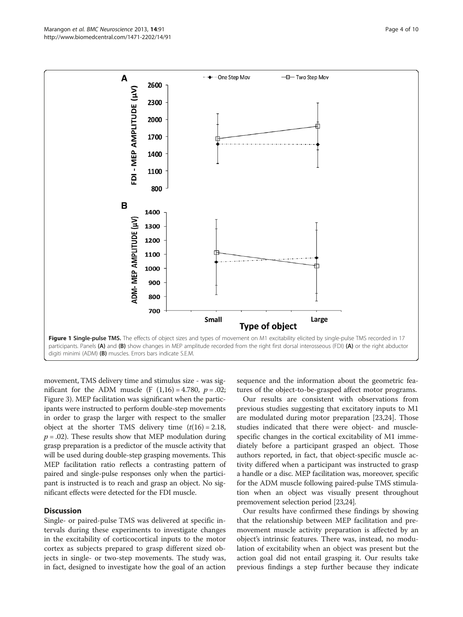<span id="page-3-0"></span>

movement, TMS delivery time and stimulus size - was significant for the ADM muscle (F  $(1,16) = 4.780$ ,  $p = .02$ ; Figure [3](#page-5-0)). MEP facilitation was significant when the participants were instructed to perform double-step movements in order to grasp the larger with respect to the smaller object at the shorter TMS delivery time  $(t(16) = 2.18$ ,  $p = .02$ ). These results show that MEP modulation during grasp preparation is a predictor of the muscle activity that will be used during double-step grasping movements. This MEP facilitation ratio reflects a contrasting pattern of paired and single-pulse responses only when the participant is instructed is to reach and grasp an object. No significant effects were detected for the FDI muscle.

#### **Discussion**

Single- or paired-pulse TMS was delivered at specific intervals during these experiments to investigate changes in the excitability of corticocortical inputs to the motor cortex as subjects prepared to grasp different sized objects in single- or two-step movements. The study was, in fact, designed to investigate how the goal of an action

sequence and the information about the geometric features of the object-to-be-grasped affect motor programs.

Our results are consistent with observations from previous studies suggesting that excitatory inputs to M1 are modulated during motor preparation [[23](#page-8-0),[24](#page-8-0)]. Those studies indicated that there were object- and musclespecific changes in the cortical excitability of M1 immediately before a participant grasped an object. Those authors reported, in fact, that object-specific muscle activity differed when a participant was instructed to grasp a handle or a disc. MEP facilitation was, moreover, specific for the ADM muscle following paired-pulse TMS stimulation when an object was visually present throughout premovement selection period [\[23,24\]](#page-8-0).

Our results have confirmed these findings by showing that the relationship between MEP facilitation and premovement muscle activity preparation is affected by an object's intrinsic features. There was, instead, no modulation of excitability when an object was present but the action goal did not entail grasping it. Our results take previous findings a step further because they indicate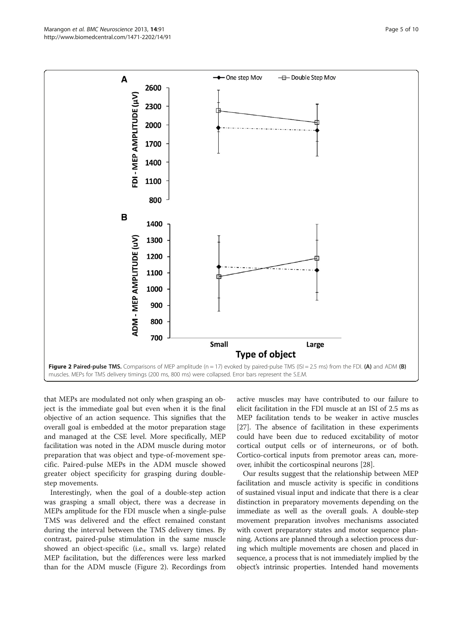<span id="page-4-0"></span>

that MEPs are modulated not only when grasping an object is the immediate goal but even when it is the final objective of an action sequence. This signifies that the overall goal is embedded at the motor preparation stage and managed at the CSE level. More specifically, MEP facilitation was noted in the ADM muscle during motor preparation that was object and type-of-movement specific. Paired-pulse MEPs in the ADM muscle showed greater object specificity for grasping during doublestep movements.

Interestingly, when the goal of a double-step action was grasping a small object, there was a decrease in MEPs amplitude for the FDI muscle when a single-pulse TMS was delivered and the effect remained constant during the interval between the TMS delivery times. By contrast, paired-pulse stimulation in the same muscle showed an object-specific (i.e., small vs. large) related MEP facilitation, but the differences were less marked than for the ADM muscle (Figure 2). Recordings from active muscles may have contributed to our failure to elicit facilitation in the FDI muscle at an ISI of 2.5 ms as MEP facilitation tends to be weaker in active muscles [[27\]](#page-8-0). The absence of facilitation in these experiments could have been due to reduced excitability of motor cortical output cells or of interneurons, or of both. Cortico-cortical inputs from premotor areas can, moreover, inhibit the corticospinal neurons [[28\]](#page-8-0).

Our results suggest that the relationship between MEP facilitation and muscle activity is specific in conditions of sustained visual input and indicate that there is a clear distinction in preparatory movements depending on the immediate as well as the overall goals. A double-step movement preparation involves mechanisms associated with covert preparatory states and motor sequence planning. Actions are planned through a selection process during which multiple movements are chosen and placed in sequence, a process that is not immediately implied by the object's intrinsic properties. Intended hand movements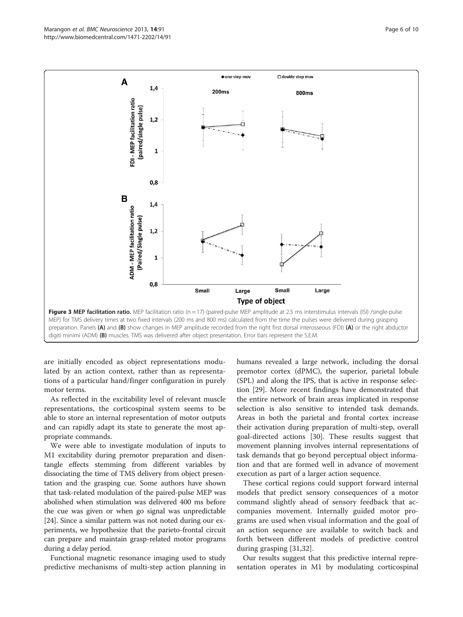<span id="page-5-0"></span>

digiti minimi (ADM) (B) muscles. TMS was delivered after object presentation. Error bars represent the S.E.M.

are initially encoded as object representations modulated by an action context, rather than as representations of a particular hand/finger configuration in purely motor terms.

As reflected in the excitability level of relevant muscle representations, the corticospinal system seems to be able to store an internal representation of motor outputs and can rapidly adapt its state to generate the most appropriate commands.

We were able to investigate modulation of inputs to M1 excitability during premotor preparation and disentangle effects stemming from different variables by dissociating the time of TMS delivery from object presentation and the grasping cue. Some authors have shown that task-related modulation of the paired-pulse MEP was abolished when stimulation was delivered 400 ms before the cue was given or when go signal was unpredictable [[24](#page-8-0)]. Since a similar pattern was not noted during our experiments, we hypothesize that the parieto-frontal circuit can prepare and maintain grasp-related motor programs during a delay period.

Functional magnetic resonance imaging used to study predictive mechanisms of multi-step action planning in humans revealed a large network, including the dorsal premotor cortex (dPMC), the superior, parietal lobule (SPL) and along the IPS, that is active in response selection [\[29\]](#page-8-0). More recent findings have demonstrated that the entire network of brain areas implicated in response selection is also sensitive to intended task demands. Areas in both the parietal and frontal cortex increase their activation during preparation of multi-step, overall goal-directed actions [\[30](#page-8-0)]. These results suggest that movement planning involves internal representations of task demands that go beyond perceptual object information and that are formed well in advance of movement execution as part of a larger action sequence.

These cortical regions could support forward internal models that predict sensory consequences of a motor command slightly ahead of sensory feedback that accompanies movement. Internally guided motor programs are used when visual information and the goal of an action sequence are available to switch back and forth between different models of predictive control during grasping [[31,32](#page-8-0)].

Our results suggest that this predictive internal representation operates in M1 by modulating corticospinal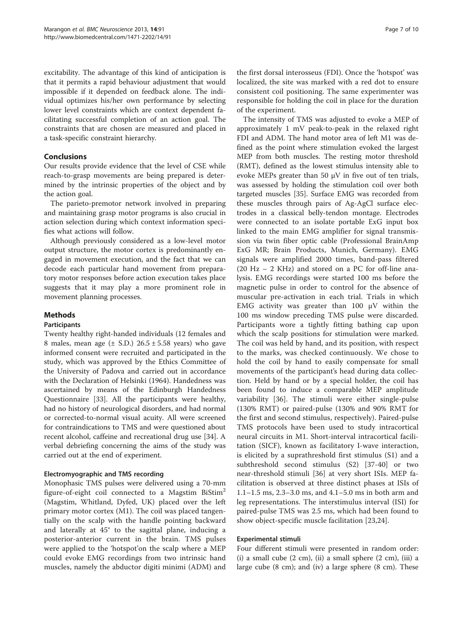excitability. The advantage of this kind of anticipation is that it permits a rapid behaviour adjustment that would impossible if it depended on feedback alone. The individual optimizes his/her own performance by selecting lower level constraints which are context dependent facilitating successful completion of an action goal. The constraints that are chosen are measured and placed in a task-specific constraint hierarchy.

## Conclusions

Our results provide evidence that the level of CSE while reach-to-grasp movements are being prepared is determined by the intrinsic properties of the object and by the action goal.

The parieto-premotor network involved in preparing and maintaining grasp motor programs is also crucial in action selection during which context information specifies what actions will follow.

Although previously considered as a low-level motor output structure, the motor cortex is predominantly engaged in movement execution, and the fact that we can decode each particular hand movement from preparatory motor responses before action execution takes place suggests that it may play a more prominent role in movement planning processes.

## Methods

#### Participants

Twenty healthy right-handed individuals (12 females and 8 males, mean age  $(\pm$  S.D.) 26.5  $\pm$  5.58 years) who gave informed consent were recruited and participated in the study, which was approved by the Ethics Committee of the University of Padova and carried out in accordance with the Declaration of Helsinki (1964). Handedness was ascertained by means of the Edinburgh Handedness Questionnaire [\[33](#page-8-0)]. All the participants were healthy, had no history of neurological disorders, and had normal or corrected-to-normal visual acuity. All were screened for contraindications to TMS and were questioned about recent alcohol, caffeine and recreational drug use [\[34](#page-8-0)]. A verbal debriefing concerning the aims of the study was carried out at the end of experiment.

## Electromyographic and TMS recording

Monophasic TMS pulses were delivered using a 70-mm figure-of-eight coil connected to a Magstim BiStim<sup>2</sup> (Magstim, Whitland, Dyfed, UK) placed over the left primary motor cortex (M1). The coil was placed tangentially on the scalp with the handle pointing backward and laterally at 45° to the sagittal plane, inducing a posterior-anterior current in the brain. TMS pulses were applied to the 'hotspot'on the scalp where a MEP could evoke EMG recordings from two intrinsic hand muscles, namely the abductor digiti minimi (ADM) and

the first dorsal interosseus (FDI). Once the 'hotspot' was localized, the site was marked with a red dot to ensure consistent coil positioning. The same experimenter was responsible for holding the coil in place for the duration of the experiment.

The intensity of TMS was adjusted to evoke a MEP of approximately 1 mV peak-to-peak in the relaxed right FDI and ADM. The hand motor area of left M1 was defined as the point where stimulation evoked the largest MEP from both muscles. The resting motor threshold (RMT), defined as the lowest stimulus intensity able to evoke MEPs greater than 50  $\mu$ V in five out of ten trials, was assessed by holding the stimulation coil over both targeted muscles [\[35\]](#page-8-0). Surface EMG was recorded from these muscles through pairs of Ag-AgCl surface electrodes in a classical belly-tendon montage. Electrodes were connected to an isolate portable ExG input box linked to the main EMG amplifier for signal transmission via twin fiber optic cable (Professional BrainAmp ExG MR; Brain Products, Munich, Germany). EMG signals were amplified 2000 times, band-pass filtered (20 Hz – 2 KHz) and stored on a PC for off-line analysis. EMG recordings were started 100 ms before the magnetic pulse in order to control for the absence of muscular pre-activation in each trial. Trials in which EMG activity was greater than 100 μV within the 100 ms window preceding TMS pulse were discarded. Participants wore a tightly fitting bathing cap upon which the scalp positions for stimulation were marked. The coil was held by hand, and its position, with respect to the marks, was checked continuously. We chose to hold the coil by hand to easily compensate for small movements of the participant's head during data collection. Held by hand or by a special holder, the coil has been found to induce a comparable MEP amplitude variability [[36\]](#page-8-0). The stimuli were either single-pulse (130% RMT) or paired-pulse (130% and 90% RMT for the first and second stimulus, respectively). Paired-pulse TMS protocols have been used to study intracortical neural circuits in M1. Short-interval intracortical facilitation (SICF), known as facilitatory I-wave interaction, is elicited by a suprathreshold first stimulus (S1) and a subthreshold second stimulus (S2) [[37-](#page-8-0)[40](#page-9-0)] or two near-threshold stimuli [[36\]](#page-8-0) at very short ISIs. MEP facilitation is observed at three distinct phases at ISIs of 1.1–1.5 ms, 2.3–3.0 ms, and 4.1–5.0 ms in both arm and leg representations. The interstimulus interval (ISI) for paired-pulse TMS was 2.5 ms, which had been found to show object-specific muscle facilitation [\[23,24](#page-8-0)].

#### Experimental stimuli

Four different stimuli were presented in random order:  $(i)$  a small cube  $(2 \text{ cm})$ ,  $(ii)$  a small sphere  $(2 \text{ cm})$ ,  $(iii)$  a large cube (8 cm); and (iv) a large sphere (8 cm). These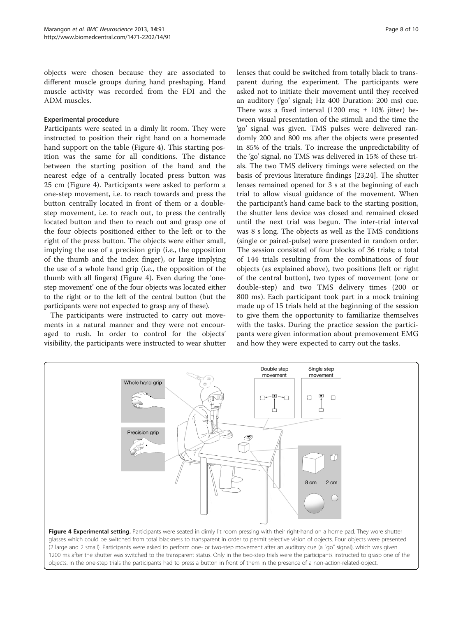objects were chosen because they are associated to different muscle groups during hand preshaping. Hand muscle activity was recorded from the FDI and the ADM muscles.

#### Experimental procedure

Participants were seated in a dimly lit room. They were instructed to position their right hand on a homemade hand support on the table (Figure 4). This starting position was the same for all conditions. The distance between the starting position of the hand and the nearest edge of a centrally located press button was 25 cm (Figure 4). Participants were asked to perform a one-step movement, i.e. to reach towards and press the button centrally located in front of them or a doublestep movement, i.e. to reach out, to press the centrally located button and then to reach out and grasp one of the four objects positioned either to the left or to the right of the press button. The objects were either small, implying the use of a precision grip (i.e., the opposition of the thumb and the index finger), or large implying the use of a whole hand grip (i.e., the opposition of the thumb with all fingers) (Figure 4). Even during the 'onestep movement' one of the four objects was located either to the right or to the left of the central button (but the participants were not expected to grasp any of these).

The participants were instructed to carry out movements in a natural manner and they were not encouraged to rush. In order to control for the objects' visibility, the participants were instructed to wear shutter lenses that could be switched from totally black to transparent during the experiment. The participants were asked not to initiate their movement until they received an auditory ('go' signal; Hz 400 Duration: 200 ms) cue. There was a fixed interval (1200 ms;  $\pm$  10% jitter) between visual presentation of the stimuli and the time the 'go' signal was given. TMS pulses were delivered randomly 200 and 800 ms after the objects were presented in 85% of the trials. To increase the unpredictability of the 'go' signal, no TMS was delivered in 15% of these trials. The two TMS delivery timings were selected on the basis of previous literature findings [[23,24\]](#page-8-0). The shutter lenses remained opened for 3 s at the beginning of each trial to allow visual guidance of the movement. When the participant's hand came back to the starting position, the shutter lens device was closed and remained closed until the next trial was begun. The inter-trial interval was 8 s long. The objects as well as the TMS conditions (single or paired-pulse) were presented in random order. The session consisted of four blocks of 36 trials; a total of 144 trials resulting from the combinations of four objects (as explained above), two positions (left or right of the central button), two types of movement (one or double-step) and two TMS delivery times (200 or 800 ms). Each participant took part in a mock training made up of 15 trials held at the beginning of the session to give them the opportunity to familiarize themselves with the tasks. During the practice session the participants were given information about premovement EMG and how they were expected to carry out the tasks.

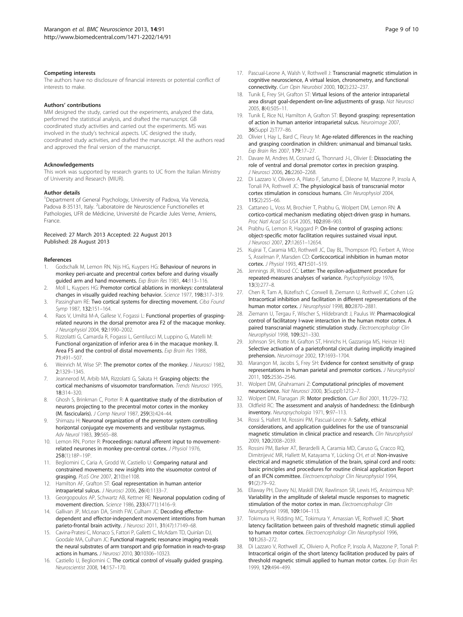#### <span id="page-8-0"></span>Competing interests

The authors have no disclosure of financial interests or potential conflict of interests to make.

#### Authors' contributions

MM designed the study, carried out the experiments, analyzed the data, performed the statistical analysis, and drafted the manuscript. GB coordinated study activities and carried out the experiments. MS was involved in the study's technical aspects. UC designed the study, coordinated study activities, and drafted the manuscript. All the authors read and approved the final version of the manuscript.

#### Acknowledgements

This work was supported by research grants to UC from the Italian Ministry of University and Research (MIUR).

#### Author details

<sup>1</sup>Department of General Psychology, University of Padova, Via Venezia, Padova 8-35131, Italy. <sup>2</sup>Laboratoire de Neuroscience Functionelles et Pathologies, UFR de Médicine, Université de Picardie Jules Verne, Amiens, France.

#### Received: 27 March 2013 Accepted: 22 August 2013 Published: 28 August 2013

#### References

- Godschalk M, Lemon RN, Nijs HG, Kuypers HG: Behaviour of neurons in monkey peri-arcuate and precentral cortex before and during visually guided arm and hand movements. Exp Brain Res 1981, 44:113-116.
- 2. Moll L, Kuypers HG: Premotor cortical ablations in monkeys: contralateral changes in visually guided reaching behavior. Science 1977, 198:317–319.
- 3. Passingham RE: Two cortical systems for directing movement. Ciba Found Symp 1987, 132:151–164.
- 4. Raos V, Umiltá M-A, Gallese V, Fogassi L: Functional properties of graspingrelated neurons in the dorsal premotor area F2 of the macaque monkey. J Neurophysiol 2004, 92:1990–2002.
- Rizzolatti G, Camarda R, Fogassi L, Gentilucci M, Luppino G, Matelli M: Functional organization of inferior area 6 in the macaque monkey. II. Area F5 and the control of distal movements. Exp Brain Res 1988, 71:491–507.
- 6. Weinrich M, Wise SP: The premotor cortex of the monkey. J Neurosci 1982, 2:1329–1345.
- 7. Jeannerod M, Arbib MA, Rizzolatti G, Sakata H: Grasping objects: the cortical mechanisms of visuomotor transformation. Trends Neurosci 1995, 18:314–320.
- 8. Ghosh S, Brinkman C, Porter R: A quantitative study of the distribution of neurons projecting to the precentral motor cortex in the monkey (M. fascicularis). J Comp Neurol 1987, 259(3):424–44.
- 9. Shimazu H: Neuronal organization of the premotor system controlling horizontal conjugate eye movements and vestibular nystagmus. Adv Neurol 1983, 39:565–88.
- 10. Lemon RN, Porter R: Proceedings: natural afferent input to movementrelated neurones in monkey pre-central cortex. J Physiol 1976, 258(1):18P–19P.
- 11. Begliomini C, Caria A, Grodd W, Castiello U: Comparing natural and constrained movements: new insights into the visuomotor control of grasping. PLoS One 2007, 2(10):e1108.
- 12. Hamilton AF, Grafton ST: Goal representation in human anterior intraparietal sulcus. J Neurosci 2006, 26(4):1133–7.
- 13. Georgopoulos AP, Schwartz AB, Kettner RE: Neuronal population coding of movement direction. Science 1986, 233(4771):1416–9.
- 14. Gallivan JP, McLean DA, Smith FW, Culham JC: Decoding effectordependent and effector-independent movement intentions from human parieto-frontal brain activity. J Neurosci 2011, 31(47):17149-68.
- 15. Cavina-Pratesi C, Monaco S, Fattori P, Galletti C, McAdam TD, Quinlan DJ, Goodale MA, Culham JC: Functional magnetic resonance imaging reveals the neural substrates of arm transport and grip formation in reach-to-grasp actions in humans. J Neurosci 2010, 30:10306–10323.
- 16. Castiello U, Begliomini C: The cortical control of visually guided grasping. Neuroscientist 2008, 14:157–170.
- 17. Pascual-Leone A, Walsh V, Rothwell J: Transcranial magnetic stimulation in cognitive neuroscience, A virtual lesion, chronometry, and functional connectivity. Curr Opin Neurobiol 2000, 10(2):232–237.
- 18. Tunik E, Frey SH, Grafton ST: Virtual lesions of the anterior intraparietal area disrupt goal-dependent on-line adjustments of grasp. Nat Neurosci 2005, 8(4):505–11.
- 19. Tunik E, Rice NJ, Hamilton A, Grafton ST: Beyond grasping: representation of action in human anterior intraparietal sulcus. Neuroimage 2007, 36(Suppl 2):T77–86.
- 20. Olivier I, Hay L, Bard C, Fleury M: Age-related differences in the reaching and grasping coordination in children: unimanual and bimanual tasks. Exp Brain Res 2007, 179:17–27.
- 21. Davare M, Andres M, Cosnard G, Thonnard J-L, Olivier E: Dissociating the role of ventral and dorsal premotor cortex in precision grasping. J Neurosci 2006, 26:2260-2268.
- 22. Di Lazzaro V, Oliviero A, Pilato F, Saturno E, Dileone M, Mazzone P, Insola A, Tonali PA, Rothwell JC: The physiological basis of transcranial motor cortex stimulation in conscious humans. Clin Neurophysiol 2004, 115(2):255–66.
- 23. Cattaneo L, Voss M, Brochier T, Prabhu G, Wolpert DM, Lemon RN: A cortico-cortical mechanism mediating object-driven grasp in humans. Proc Natl Acad Sci USA 2005, 102:898-903.
- 24. Prabhu G, Lemon R, Haggard P: On-line control of grasping actions: object-specific motor facilitation requires sustained visual input. J Neurosci 2007, 27:12651–12654.
- 25. Kujirai T, Caramia MD, Rothwell JC, Day BL, Thompson PD, Ferbert A, Wroe S, Asselman P, Marsden CD: Corticocortical inhibition in human motor cortex. J Physiol 1993, 471:501-519.
- 26. Jennings JR, Wood CC: Letter: The epsilon-adjustment procedure for repeated-measures analyses of variance. Psychophysiology 1976, 13(3):277–8.
- 27. Chen R, Tam A, Bütefisch C, Corwell B, Ziemann U, Rothwell JC, Cohen LG: Intracortical inhibition and facilitation in different representations of the human motor cortex. J Neurophysiol 1998, 80:2870–2881.
- 28. Ziemann U, Tergau F, Wischer S, Hildebrandt J, Paulus W: Pharmacological control of facilitatory I-wave interaction in the human motor cortex. A paired transcranial magnetic stimulation study. Electroencephalogr Clin Neurophysiol 1998, 109:321–330.
- 29. Johnson SH, Rotte M, Grafton ST, Hinrichs H, Gazzaniga MS, Heinze HJ: Selective activation of a parietofrontal circuit during implicitly imagined prehension. Neuroimage 2002, 17:1693–1704.
- 30. Marangon M, Jacobs S, Frey SH: Evidence for context sensitivity of grasp representations in human parietal and premotor cortices. J Neurophysiol 2011, 105:2536–2546.
- 31. Wolpert DM, Ghahramani Z: Computational principles of movement neuroscience. Nat Neurosci 2000, 3(Suppl):1212–7.
- 32. Wolpert DM, Flanagan JR: Motor prediction. Curr Biol 2001, 11:729-732.
- 33. Oldfield RC: The assessment and analysis of handedness: the Edinburgh inventory. Neuropsychologia 1971, 9:97–113.
- 34. Rossi S, Hallett M, Rossini PM, Pascual-Leone A: Safety, ethical considerations, and application guidelines for the use of transcranial magnetic stimulation in clinical practice and research. Clin Neurophysiol 2009, 120:2008–2039.
- 35. Rossini PM, Barker AT, Berardelli A, Caramia MD, Caruso G, Cracco RQ, Dimitrijević MR, Hallett M, Katayama Y, Lücking CH, et al: Non-invasive electrical and magnetic stimulation of the brain, spinal cord and roots: basic principles and procedures for routine clinical application Report of an IFCN committee. Electroencephalogr Clin Neurophysiol 1994, 91(2):79–92.
- 36. Ellaway PH, Davey NJ, Maskill DW, Rawlinson SR, Lewis HS, Anissimova NP: Variability in the amplitude of skeletal muscle responses to magnetic stimulation of the motor cortex in man. Electroencephalogr Clin Neurophysiol 1998, 109:104–113.
- 37. Tokimura H, Ridding MC, Tokimura Y, Amassian VE, Rothwell JC: Short latency facilitation between pairs of threshold magnetic stimuli applied to human motor cortex. Electroencephalogr Clin Neurophysiol 1996, 101:263–272.
- 38. Di Lazzaro V, Rothwell JC, Oliviero A, Profice P, Insola A, Mazzone P, Tonali P: Intracortical origin of the short latency facilitation produced by pairs of threshold magnetic stimuli applied to human motor cortex. Exp Brain Res 1999, 129:494–499.